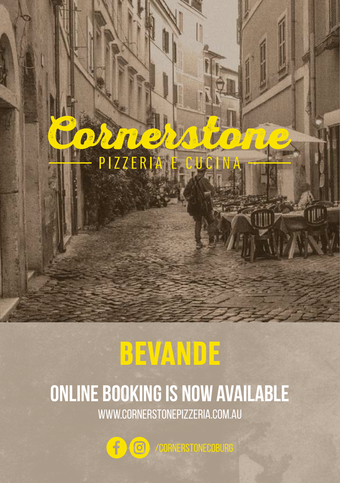

# BEVANDE

# **ONLINE BOOKING IS NOW AVAILABLE** WWW.CORNERSTONEPIZZERIA.COM.AU

 $\mathbf{f}$  $\circ$ /CORNERSTONECOBURG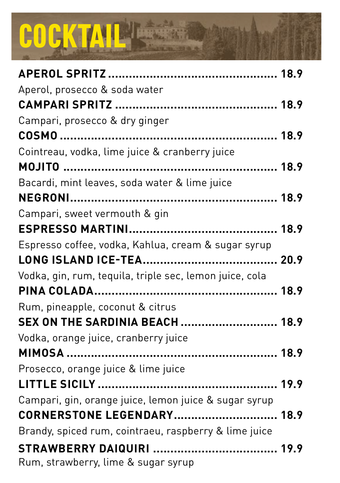# COCKTAIL **SECTION**

| Aperol, prosecco & soda water                           |  |
|---------------------------------------------------------|--|
|                                                         |  |
| Campari, prosecco & dry ginger                          |  |
|                                                         |  |
| Cointreau, vodka, lime juice & cranberry juice          |  |
|                                                         |  |
| Bacardi, mint leaves, soda water & lime juice           |  |
|                                                         |  |
| Campari, sweet vermouth & gin                           |  |
|                                                         |  |
| Espresso coffee, vodka, Kahlua, cream & sugar syrup     |  |
|                                                         |  |
| Vodka, gin, rum, tequila, triple sec, lemon juice, cola |  |
|                                                         |  |
| Rum, pineapple, coconut & citrus                        |  |
| <b>SEX ON THE SARDINIA BEACH  18.9</b>                  |  |
| Vodka, orange juice, cranberry juice                    |  |
|                                                         |  |
| Prosecco, orange juice & lime juice                     |  |
|                                                         |  |
| Campari, gin, orange juice, lemon juice & sugar syrup   |  |
| <b>CORNERSTONE LEGENDARY 18.9</b>                       |  |
| Brandy, spiced rum, cointraeu, raspberry & lime juice   |  |
|                                                         |  |
| Rum, strawberry, lime & sugar syrup                     |  |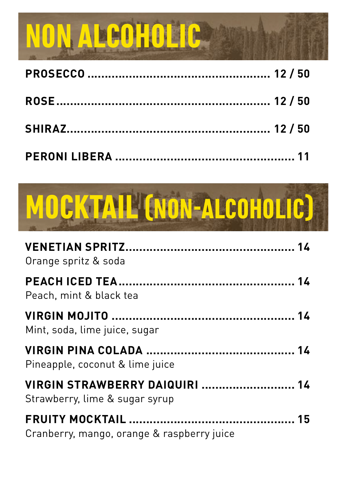# NON ALCOHOLIC



| Orange spritz & soda                                             |  |
|------------------------------------------------------------------|--|
| Peach, mint & black tea                                          |  |
|                                                                  |  |
| Mint, soda, lime juice, sugar                                    |  |
| Pineapple, coconut & lime juice                                  |  |
| VIRGIN STRAWBERRY DAIQUIRI  14<br>Strawberry, lime & sugar syrup |  |
| Cranberry, mango, orange & raspberry juice                       |  |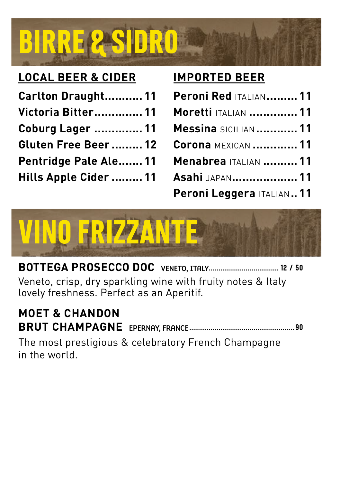

#### **LOCAL BEER & CIDER**

| Carlton Draught11       |  |
|-------------------------|--|
| Victoria Bitter 11      |  |
| <b>Coburg Lager  11</b> |  |
| Gluten Free Beer 12     |  |
| Pentridge Pale Ale 11   |  |
| Hills Apple Cider  11   |  |

#### **IMPORTED BEER**

| <b>Peroni Red ITALIAN 11</b> |  |
|------------------------------|--|
| <b>Moretti ITALIAN  11</b>   |  |
| <b>Messina SICILIAN  11</b>  |  |
| <b>Corona MEXICAN  11</b>    |  |
| <b>Menabrea ITALIAN  11</b>  |  |
| Asahi JAPAN 11               |  |
| Peroni Leggera ITALIAN 11    |  |



**BOTTEGA PROSECCO DOC** VENETO, ITALY.................................... 12 / 50 Veneto, crisp, dry sparkling wine with fruity notes & Italy lovely freshness. Perfect as an Aperitif.

#### **MOET & CHANDON BRUT CHAMPAGNE** EPERNAY, FRANCE...................................................... 90

The most prestigious & celebratory French Champagne in the world.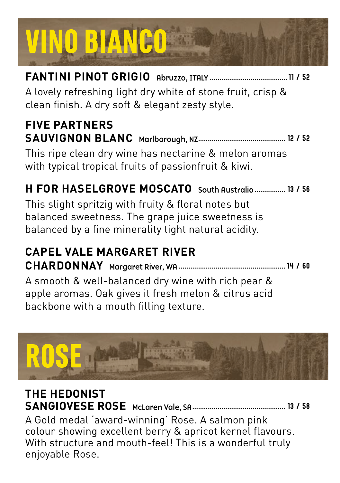# VINO BIANCO

**FANTINI PINOT GRIGIO** Abruzzo, ITALY ........................................11 / 52 A lovely refreshing light dry white of stone fruit, crisp & clean finish. A dry soft & elegant zesty style.

#### **FIVE PARTNERS SAUVIGNON BLANC** Marlborough, NZ............................................. 12 / 52 This ripe clean dry wine has nectarine & melon aromas

with typical tropical fruits of passionfruit & kiwi.

## **H FOR HASELGROVE MOSCATO** South Australia................ 13 / 56

This slight spritzig with fruity & floral notes but balanced sweetness. The grape juice sweetness is balanced by a fine minerality tight natural acidity.

## **CAPEL VALE MARGARET RIVER CHARDONNAY** Margaret River, WA .......................................................14 / 60

A smooth & well-balanced dry wine with rich pear & apple aromas. Oak gives it fresh melon & citrus acid backbone with a mouth filling texture.



#### **THE HEDONIST SANGIOVESE ROSE** McLaren Vale, SA................................................ 13 / 58 A Gold medal 'award-winning' Rose. A salmon pink colour showing excellent berry & apricot kernel flavours. With structure and mouth-feel! This is a wonderful truly enjoyable Rose.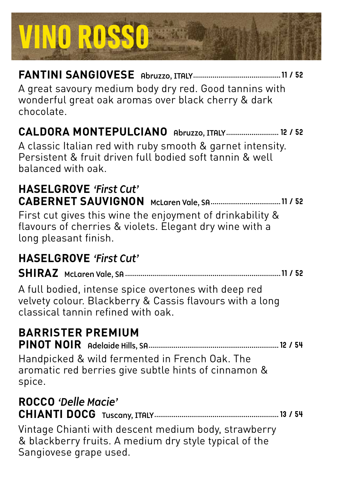

#### **FANTINI SANGIOVESE** Abruzzo, ITALY.............................................11 / 52

A great savoury medium body dry red. Good tannins with wonderful great oak aromas over black cherry & dark chocolate.

#### **CALDORA MONTEPULCIANO** Abruzzo, ITALY........................... 12 / 52

A classic Italian red with ruby smooth & garnet intensity. Persistent & fruit driven full bodied soft tannin & well balanced with oak.

#### **HASELGROVE** *'First Cut'* **CABERNET SAUVIGNON** McLaren Vale, SA....................................11 / 52

First cut gives this wine the enjoyment of drinkability & flavours of cherries & violets. Elegant dry wine with a long pleasant finish.

#### **HASELGROVE** *'First Cut'*

**SHIRAZ** McLaren Vale, SA ................................................................................11 / 52

A full bodied, intense spice overtones with deep red velvety colour. Blackberry & Cassis flavours with a long classical tannin refined with oak.

### **BARRISTER PREMIUM**

**PINOT NOIR** Adelaide Hills, SA...................................................................12 / 54

Handpicked & wild fermented in French Oak. The aromatic red berries give subtle hints of cinnamon & spice.

# **ROCCO** *'Delle Macie'*

**CHIANTI DOCG** Tuscany, ITALY................................................................13 / 54

Vintage Chianti with descent medium body, strawberry & blackberry fruits. A medium dry style typical of the Sangiovese grape used.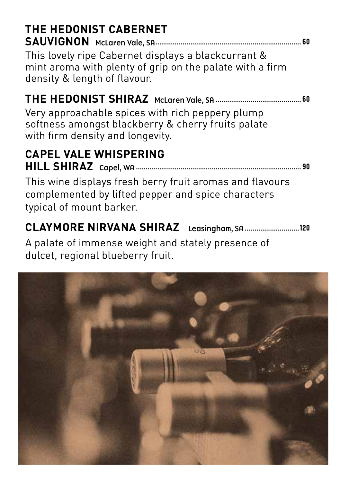| THE HEDONIST CABERNET<br>This lovely ripe Cabernet displays a blackcurrant &<br>mint aroma with plenty of grip on the palate with a firm<br>density & length of flavour.          |
|-----------------------------------------------------------------------------------------------------------------------------------------------------------------------------------|
| Very approachable spices with rich peppery plump<br>softness amongst blackberry & cherry fruits palate<br>with firm density and longevity.                                        |
| <b>CAPEL VALE WHISPERING</b><br>.90<br>This wine displays fresh berry fruit aromas and flavours<br>complemented by lifted pepper and spice characters<br>typical of mount barker. |
| <b>CLAYMORE NIRVANA SHIRAZ</b><br>Leasingham, SA<br>.120                                                                                                                          |

A palate of immense weight and stately presence of dulcet, regional blueberry fruit.

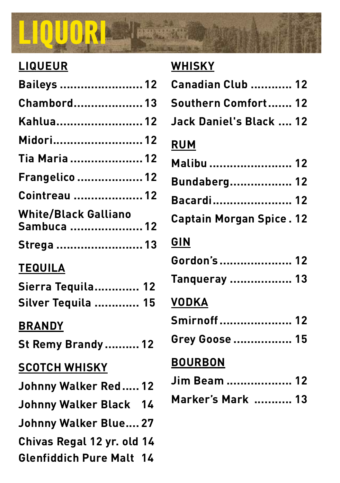# LIQUORI **S**

### **LIQUEUR**

| <b>Baileys  12</b>                         |
|--------------------------------------------|
| <b>Chambord 13</b>                         |
| Kahlua 12                                  |
| Midori 12                                  |
| Tia Maria  12                              |
| <b>Frangelico  12</b>                      |
| <b>Cointreau  12</b>                       |
| <b>White/Black Galliano</b><br>Sambuca  12 |
| Strega  13                                 |
| <b>TEQUILA</b>                             |
| Sierra Tequila 12                          |
| Silver Tequila  15                         |
| <b>BRANDY</b>                              |
| <b>St Remy Brandy  12</b>                  |
| <b>SCOTCH WHISKY</b>                       |
| Johnny Walker Red 12                       |
| Johnny Walker Black 14                     |
| <b>Johnny Walker Blue 27</b>               |

## **Chivas Regal 12 yr. old 14**

**Glenfiddich Pure Malt. 14**

### **WHISKY**

| <b>Canadian Club  12</b>        |
|---------------------------------|
| Southern Comfort 12             |
| Jack Daniel's Black  12         |
| <b>RUM</b>                      |
| Malibu  12                      |
| <b>Bundaberg 12</b>             |
| Bacardi 12                      |
| <b>Captain Morgan Spice. 12</b> |
| GIN                             |
| Gordon's  12                    |
| Tanqueray  13                   |
| <b>VODKA</b>                    |
| Smirnoff 12                     |
| Grey Goose  15                  |
| <b>BOURBON</b>                  |
| <b>Jim Beam  12</b>             |
| Marker's Mark  13               |
|                                 |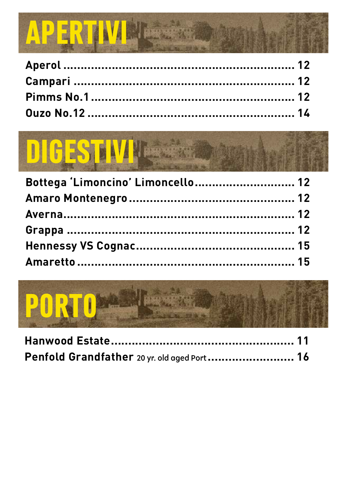

# DIGESTIVI

| Bottega 'Limoncino' Limoncello 12 |  |
|-----------------------------------|--|
|                                   |  |
|                                   |  |
|                                   |  |
|                                   |  |
|                                   |  |



| Penfold Grandfather 20 yr. old aged Port 16 |  |
|---------------------------------------------|--|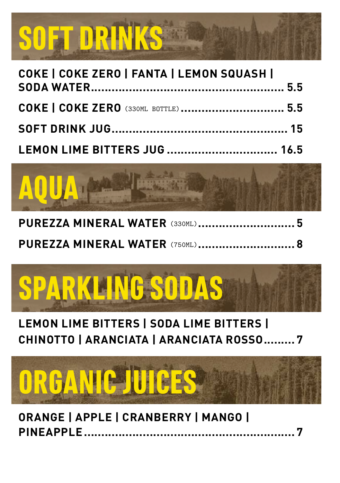

| COKE   COKE ZERO   FANTA   LEMON SQUASH     |  |
|---------------------------------------------|--|
| <b>COKE   COKE ZERO</b> (330ML BOTTLE)  5.5 |  |
|                                             |  |
|                                             |  |



|  | <b>PUREZZA MINERAL WATER (330ML)</b> 5 |
|--|----------------------------------------|
|  | <b>PUREZZA MINERAL WATER (750ML) 8</b> |



### **LEMON LIME BITTERS | SODA LIME BITTERS | CHINOTTO | ARANCIATA | ARANCIATA ROSSO......... 7**



**ORANGE | APPLE | CRANBERRY | MANGO | PINEAPPLE...**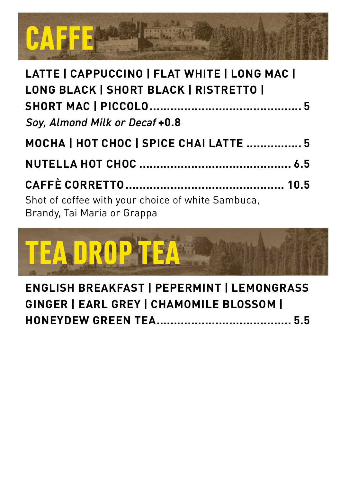

| LATTE   CAPPUCCINO   FLAT WHITE   LONG MAC                                       |  |
|----------------------------------------------------------------------------------|--|
| LONG BLACK   SHORT BLACK   RISTRETTO                                             |  |
|                                                                                  |  |
| Soy, Almond Milk or Decaf +0.8                                                   |  |
| MOCHA   HOT CHOC   SPICE CHAI LATTE  5                                           |  |
|                                                                                  |  |
|                                                                                  |  |
| Shot of coffee with your choice of white Sambuca,<br>Brandy, Tai Maria or Grappa |  |



**ENGLISH BREAKFAST | PEPERMINT | LEMONGRASS GINGER | EARL GREY | CHAMOMILE BLOSSOM | HONEYDEW GREEN TEA....................................... 5.5**